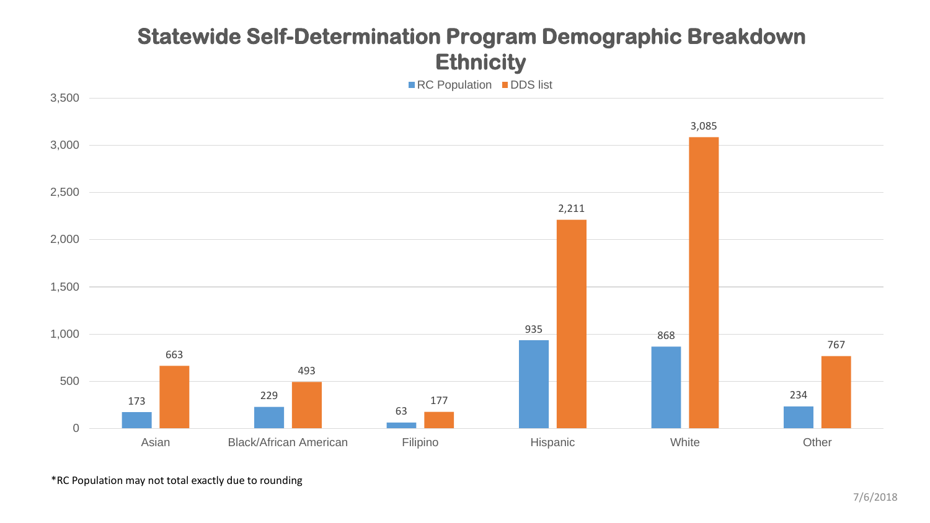#### **Statewide Self-Determination Program Demographic Breakdown Ethnicity**



\*RC Population may not total exactly due to rounding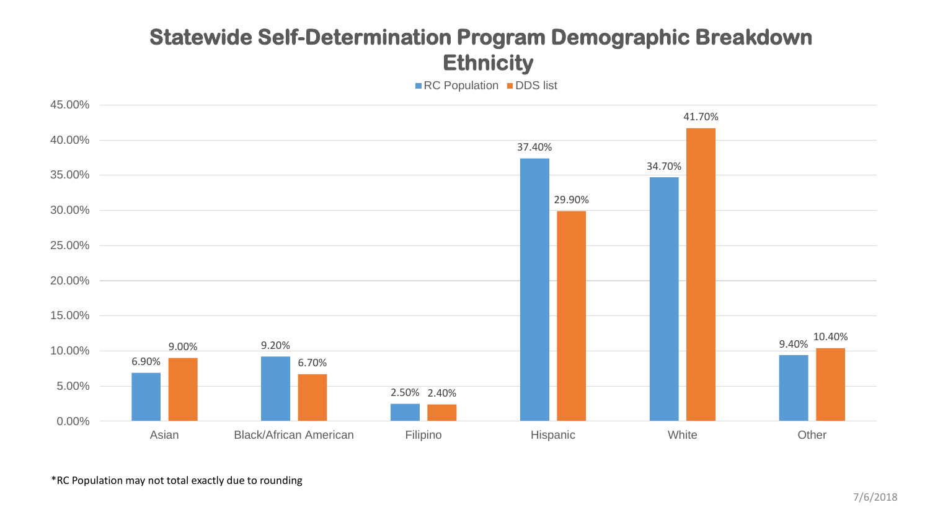### **Statewide Self-Determination Program Demographic Breakdown Ethnicity**

■RC Population ■DDS list



\*RC Population may not total exactly due to rounding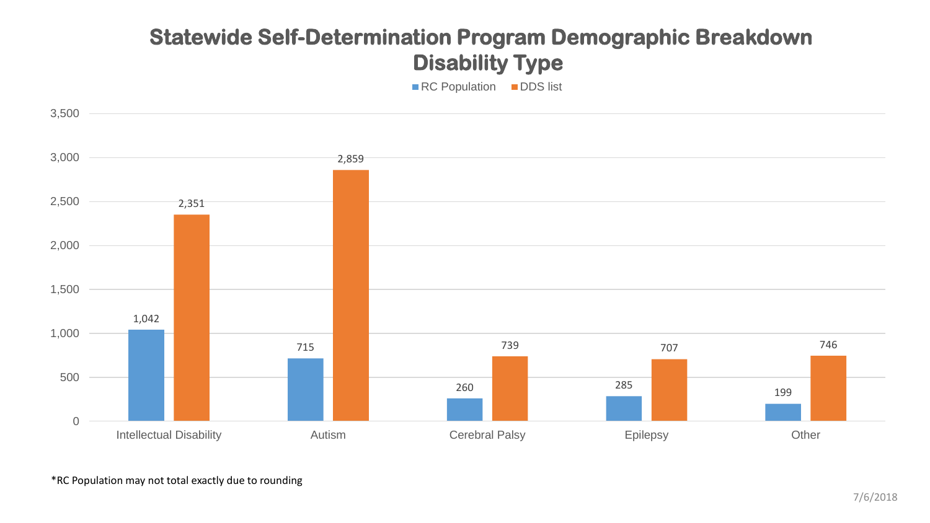# **Statewide Self-Determination Program Demographic Breakdown Disability Type**

■ RC Population ■ DDS list

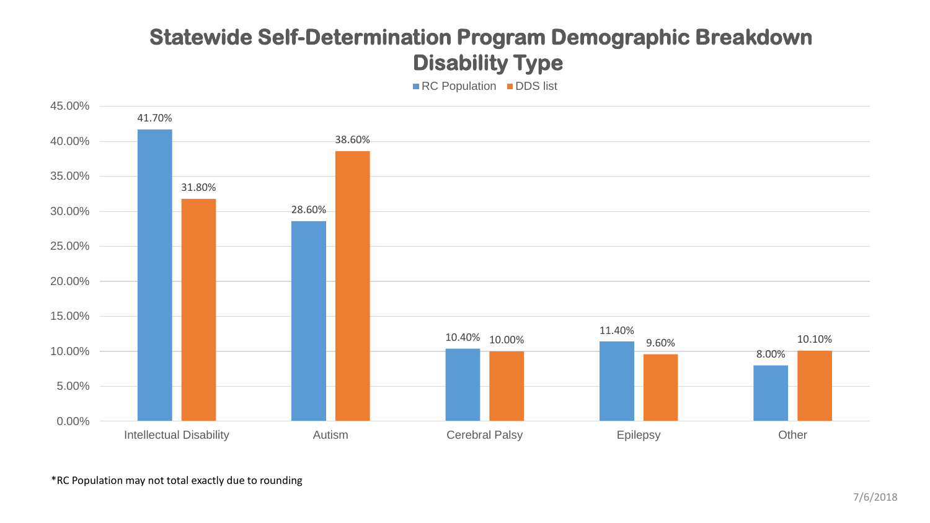# **Statewide Self-Determination Program Demographic Breakdown Disability Type**

■RC Population ■DDS list

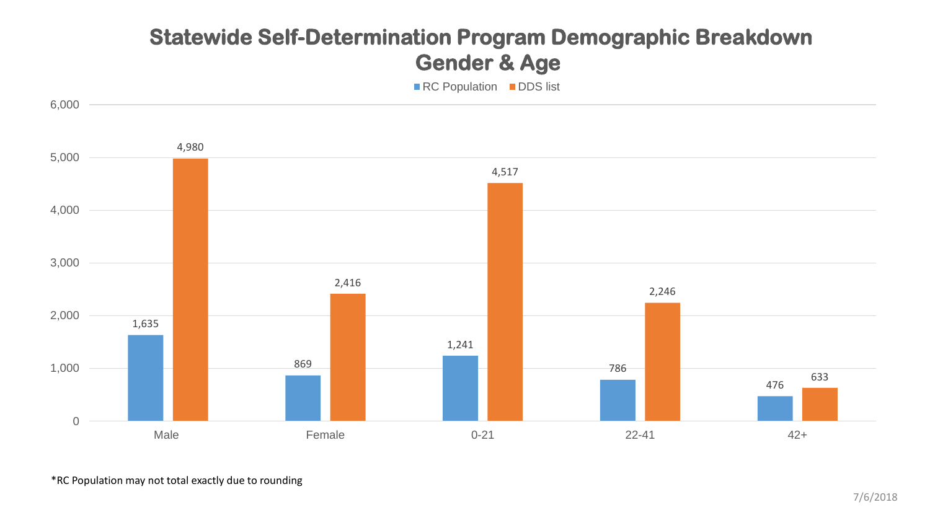### **Statewide Self-Determination Program Demographic Breakdown Gender & Age**

■RC Population ■DDS list